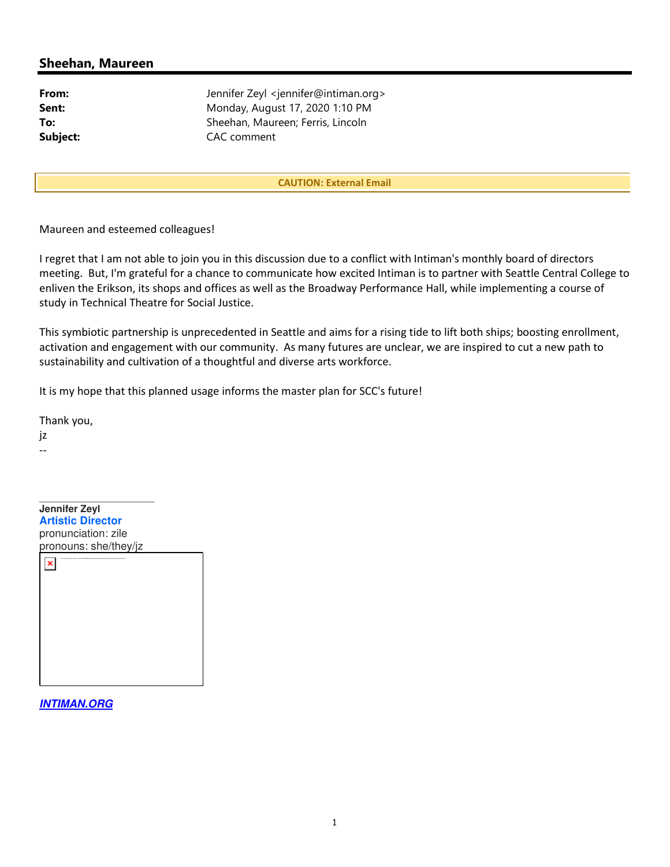## Sheehan, Maureen

From: Jennifer Zeyl <jennifer@intiman.org> **Sent:** Monday, August 17, 2020 1:10 PM To: Sheehan, Maureen; Ferris, Lincoln Subject: CAC comment

CAUTION: External Email

Maureen and esteemed colleagues!

I regret that I am not able to join you in this discussion due to a conflict with Intiman's monthly board of directors meeting. But, I'm grateful for a chance to communicate how excited Intiman is to partner with Seattle Central College to enliven the Erikson, its shops and offices as well as the Broadway Performance Hall, while implementing a course of study in Technical Theatre for Social Justice.

This symbiotic partnership is unprecedented in Seattle and aims for a rising tide to lift both ships; boosting enrollment, activation and engagement with our community. As many futures are unclear, we are inspired to cut a new path to sustainability and cultivation of a thoughtful and diverse arts workforce.

It is my hope that this planned usage informs the master plan for SCC's future!

Thank you,

jz --

 $\overline{\phantom{a}}$  , where  $\overline{\phantom{a}}$ **Jennifer Zeyl Artistic Director** pronunciation: zile pronouns: she/they/jz  $\pmb{\times}$ To help protect your privacy, Microsoft Office prevented automatic download of this picture from the Internet.

**INTIMAN.ORG**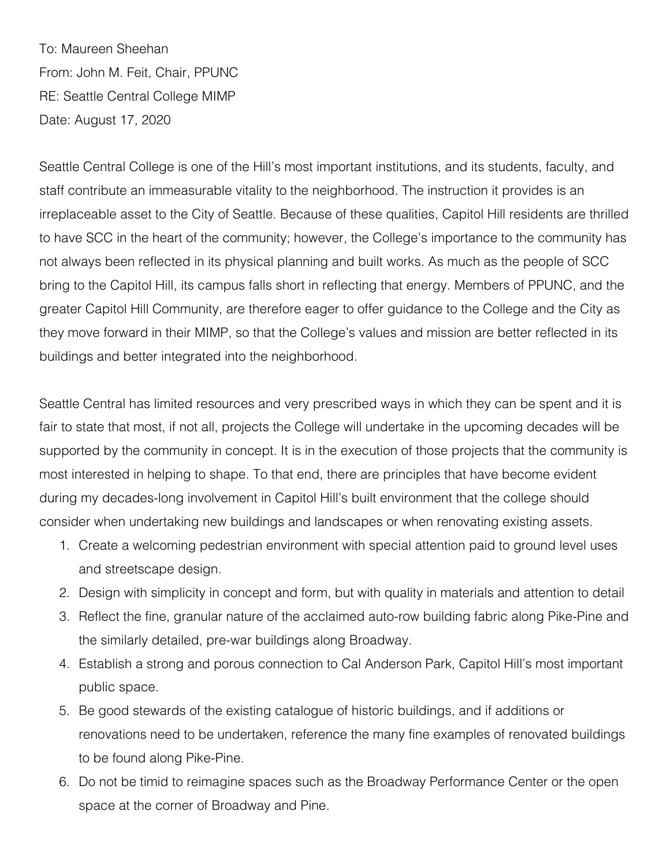To: Maureen Sheehan From: John M. Feit, Chair, PPUNC RE: Seattle Central College MIMP Date: August 17, 2020

Seattle Central College is one of the Hill's most important institutions, and its students, faculty, and staff contribute an immeasurable vitality to the neighborhood. The instruction it provides is an irreplaceable asset to the City of Seattle. Because of these qualities, Capitol Hill residents are thrilled to have SCC in the heart of the community; however, the College's importance to the community has not always been reflected in its physical planning and built works. As much as the people of SCC bring to the Capitol Hill, its campus falls short in reflecting that energy. Members of PPUNC, and the greater Capitol Hill Community, are therefore eager to offer guidance to the College and the City as they move forward in their MIMP, so that the College's values and mission are better reflected in its buildings and better integrated into the neighborhood.

Seattle Central has limited resources and very prescribed ways in which they can be spent and it is fair to state that most, if not all, projects the College will undertake in the upcoming decades will be supported by the community in concept. It is in the execution of those projects that the community is most interested in helping to shape. To that end, there are principles that have become evident during my decades-long involvement in Capitol Hill's built environment that the college should consider when undertaking new buildings and landscapes or when renovating existing assets.

- 1. Create a welcoming pedestrian environment with special attention paid to ground level uses and streetscape design.
- 2. Design with simplicity in concept and form, but with quality in materials and attention to detail
- 3. Reflect the fine, granular nature of the acclaimed auto-row building fabric along Pike-Pine and the similarly detailed, pre-war buildings along Broadway.
- 4. Establish a strong and porous connection to Cal Anderson Park, Capitol Hill's most important public space.
- 5. Be good stewards of the existing catalogue of historic buildings, and if additions or renovations need to be undertaken, reference the many fine examples of renovated buildings to be found along Pike-Pine.
- 6. Do not be timid to reimagine spaces such as the Broadway Performance Center or the open space at the corner of Broadway and Pine.